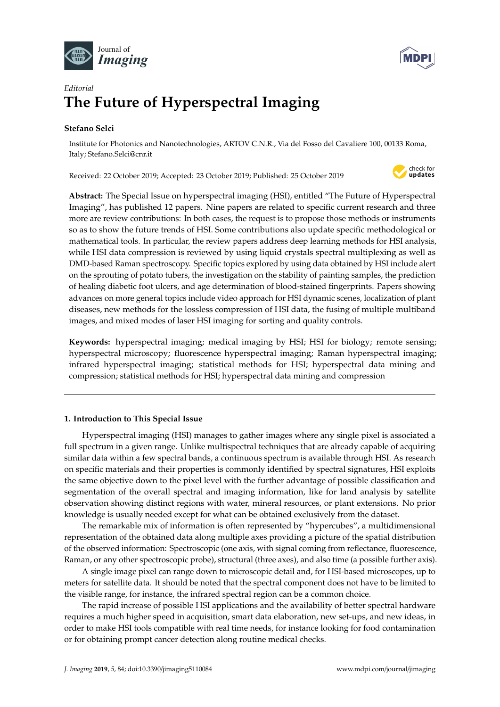



# *Editorial* **The Future of Hyperspectral Imaging**

## **Stefano Selci**

Institute for Photonics and Nanotechnologies, ARTOV C.N.R., Via del Fosso del Cavaliere 100, 00133 Roma, Italy; Stefano.Selci@cnr.it

Received: 22 October 2019; Accepted: 23 October 2019; Published: 25 October 2019



**Abstract:** The Special Issue on hyperspectral imaging (HSI), entitled "The Future of Hyperspectral Imaging", has published 12 papers. Nine papers are related to specific current research and three more are review contributions: In both cases, the request is to propose those methods or instruments so as to show the future trends of HSI. Some contributions also update specific methodological or mathematical tools. In particular, the review papers address deep learning methods for HSI analysis, while HSI data compression is reviewed by using liquid crystals spectral multiplexing as well as DMD-based Raman spectroscopy. Specific topics explored by using data obtained by HSI include alert on the sprouting of potato tubers, the investigation on the stability of painting samples, the prediction of healing diabetic foot ulcers, and age determination of blood-stained fingerprints. Papers showing advances on more general topics include video approach for HSI dynamic scenes, localization of plant diseases, new methods for the lossless compression of HSI data, the fusing of multiple multiband images, and mixed modes of laser HSI imaging for sorting and quality controls.

**Keywords:** hyperspectral imaging; medical imaging by HSI; HSI for biology; remote sensing; hyperspectral microscopy; fluorescence hyperspectral imaging; Raman hyperspectral imaging; infrared hyperspectral imaging; statistical methods for HSI; hyperspectral data mining and compression; statistical methods for HSI; hyperspectral data mining and compression

### **1. Introduction to This Special Issue**

Hyperspectral imaging (HSI) manages to gather images where any single pixel is associated a full spectrum in a given range. Unlike multispectral techniques that are already capable of acquiring similar data within a few spectral bands, a continuous spectrum is available through HSI. As research on specific materials and their properties is commonly identified by spectral signatures, HSI exploits the same objective down to the pixel level with the further advantage of possible classification and segmentation of the overall spectral and imaging information, like for land analysis by satellite observation showing distinct regions with water, mineral resources, or plant extensions. No prior knowledge is usually needed except for what can be obtained exclusively from the dataset.

The remarkable mix of information is often represented by "hypercubes", a multidimensional representation of the obtained data along multiple axes providing a picture of the spatial distribution of the observed information: Spectroscopic (one axis, with signal coming from reflectance, fluorescence, Raman, or any other spectroscopic probe), structural (three axes), and also time (a possible further axis).

A single image pixel can range down to microscopic detail and, for HSI-based microscopes, up to meters for satellite data. It should be noted that the spectral component does not have to be limited to the visible range, for instance, the infrared spectral region can be a common choice.

The rapid increase of possible HSI applications and the availability of better spectral hardware requires a much higher speed in acquisition, smart data elaboration, new set-ups, and new ideas, in order to make HSI tools compatible with real time needs, for instance looking for food contamination or for obtaining prompt cancer detection along routine medical checks.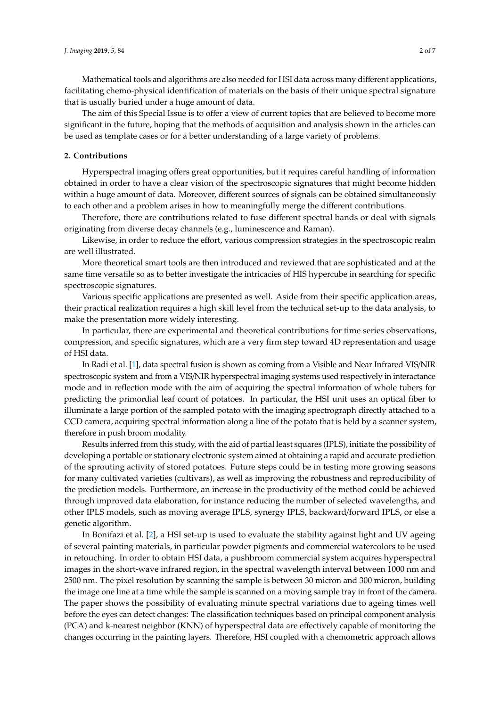Mathematical tools and algorithms are also needed for HSI data across many different applications, facilitating chemo-physical identification of materials on the basis of their unique spectral signature that is usually buried under a huge amount of data.

The aim of this Special Issue is to offer a view of current topics that are believed to become more significant in the future, hoping that the methods of acquisition and analysis shown in the articles can be used as template cases or for a better understanding of a large variety of problems.

#### **2. Contributions**

Hyperspectral imaging offers great opportunities, but it requires careful handling of information obtained in order to have a clear vision of the spectroscopic signatures that might become hidden within a huge amount of data. Moreover, different sources of signals can be obtained simultaneously to each other and a problem arises in how to meaningfully merge the different contributions.

Therefore, there are contributions related to fuse different spectral bands or deal with signals originating from diverse decay channels (e.g., luminescence and Raman).

Likewise, in order to reduce the effort, various compression strategies in the spectroscopic realm are well illustrated.

More theoretical smart tools are then introduced and reviewed that are sophisticated and at the same time versatile so as to better investigate the intricacies of HIS hypercube in searching for specific spectroscopic signatures.

Various specific applications are presented as well. Aside from their specific application areas, their practical realization requires a high skill level from the technical set-up to the data analysis, to make the presentation more widely interesting.

In particular, there are experimental and theoretical contributions for time series observations, compression, and specific signatures, which are a very firm step toward 4D representation and usage of HSI data.

In Radi et al. [\[1\]](#page-5-0), data spectral fusion is shown as coming from a Visible and Near Infrared VIS/NIR spectroscopic system and from a VIS/NIR hyperspectral imaging systems used respectively in interactance mode and in reflection mode with the aim of acquiring the spectral information of whole tubers for predicting the primordial leaf count of potatoes. In particular, the HSI unit uses an optical fiber to illuminate a large portion of the sampled potato with the imaging spectrograph directly attached to a CCD camera, acquiring spectral information along a line of the potato that is held by a scanner system, therefore in push broom modality.

Results inferred from this study, with the aid of partial least squares (IPLS), initiate the possibility of developing a portable or stationary electronic system aimed at obtaining a rapid and accurate prediction of the sprouting activity of stored potatoes. Future steps could be in testing more growing seasons for many cultivated varieties (cultivars), as well as improving the robustness and reproducibility of the prediction models. Furthermore, an increase in the productivity of the method could be achieved through improved data elaboration, for instance reducing the number of selected wavelengths, and other IPLS models, such as moving average IPLS, synergy IPLS, backward/forward IPLS, or else a genetic algorithm.

In Bonifazi et al. [\[2\]](#page-5-1), a HSI set-up is used to evaluate the stability against light and UV ageing of several painting materials, in particular powder pigments and commercial watercolors to be used in retouching. In order to obtain HSI data, a pushbroom commercial system acquires hyperspectral images in the short-wave infrared region, in the spectral wavelength interval between 1000 nm and 2500 nm. The pixel resolution by scanning the sample is between 30 micron and 300 micron, building the image one line at a time while the sample is scanned on a moving sample tray in front of the camera. The paper shows the possibility of evaluating minute spectral variations due to ageing times well before the eyes can detect changes: The classification techniques based on principal component analysis (PCA) and k-nearest neighbor (KNN) of hyperspectral data are effectively capable of monitoring the changes occurring in the painting layers. Therefore, HSI coupled with a chemometric approach allows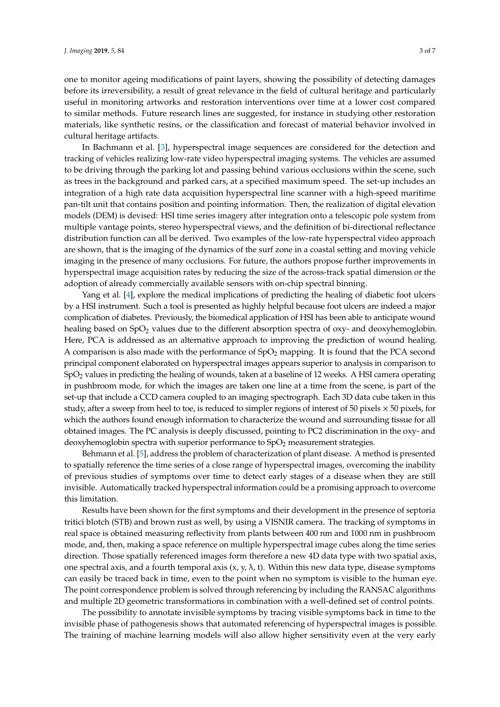one to monitor ageing modifications of paint layers, showing the possibility of detecting damages before its irreversibility, a result of great relevance in the field of cultural heritage and particularly useful in monitoring artworks and restoration interventions over time at a lower cost compared to similar methods. Future research lines are suggested, for instance in studying other restoration materials, like synthetic resins, or the classification and forecast of material behavior involved in cultural heritage artifacts.

In Bachmann et al. [\[3\]](#page-6-0), hyperspectral image sequences are considered for the detection and tracking of vehicles realizing low-rate video hyperspectral imaging systems. The vehicles are assumed to be driving through the parking lot and passing behind various occlusions within the scene, such as trees in the background and parked cars, at a specified maximum speed. The set-up includes an integration of a high rate data acquisition hyperspectral line scanner with a high-speed maritime pan-tilt unit that contains position and pointing information. Then, the realization of digital elevation models (DEM) is devised: HSI time series imagery after integration onto a telescopic pole system from multiple vantage points, stereo hyperspectral views, and the definition of bi-directional reflectance distribution function can all be derived. Two examples of the low-rate hyperspectral video approach are shown, that is the imaging of the dynamics of the surf zone in a coastal setting and moving vehicle imaging in the presence of many occlusions. For future, the authors propose further improvements in hyperspectral image acquisition rates by reducing the size of the across-track spatial dimension or the adoption of already commercially available sensors with on-chip spectral binning.

Yang et al. [\[4\]](#page-6-1), explore the medical implications of predicting the healing of diabetic foot ulcers by a HSI instrument. Such a tool is presented as highly helpful because foot ulcers are indeed a major complication of diabetes. Previously, the biomedical application of HSI has been able to anticipate wound healing based on SpO<sub>2</sub> values due to the different absorption spectra of oxy- and deoxyhemoglobin. Here, PCA is addressed as an alternative approach to improving the prediction of wound healing. A comparison is also made with the performance of  $SpO<sub>2</sub>$  mapping. It is found that the PCA second principal component elaborated on hyperspectral images appears superior to analysis in comparison to SpO<sub>2</sub> values in predicting the healing of wounds, taken at a baseline of 12 weeks. A HSI camera operating in pushbroom mode, for which the images are taken one line at a time from the scene, is part of the set-up that include a CCD camera coupled to an imaging spectrograph. Each 3D data cube taken in this study, after a sweep from heel to toe, is reduced to simpler regions of interest of 50 pixels  $\times$  50 pixels, for which the authors found enough information to characterize the wound and surrounding tissue for all obtained images. The PC analysis is deeply discussed, pointing to PC2 discrimination in the oxy- and deoxyhemoglobin spectra with superior performance to  $SpO<sub>2</sub>$  measurement strategies.

Behmann et al. [\[5\]](#page-6-2), address the problem of characterization of plant disease. A method is presented to spatially reference the time series of a close range of hyperspectral images, overcoming the inability of previous studies of symptoms over time to detect early stages of a disease when they are still invisible. Automatically tracked hyperspectral information could be a promising approach to overcome this limitation.

Results have been shown for the first symptoms and their development in the presence of septoria tritici blotch (STB) and brown rust as well, by using a VISNIR camera. The tracking of symptoms in real space is obtained measuring reflectivity from plants between 400 nm and 1000 nm in pushbroom mode, and, then, making a space reference on multiple hyperspectral image cubes along the time series direction. Those spatially referenced images form therefore a new 4D data type with two spatial axis, one spectral axis, and a fourth temporal axis  $(x, y, \lambda, t)$ . Within this new data type, disease symptoms can easily be traced back in time, even to the point when no symptom is visible to the human eye. The point correspondence problem is solved through referencing by including the RANSAC algorithms and multiple 2D geometric transformations in combination with a well-defined set of control points.

The possibility to annotate invisible symptoms by tracing visible symptoms back in time to the invisible phase of pathogenesis shows that automated referencing of hyperspectral images is possible. The training of machine learning models will also allow higher sensitivity even at the very early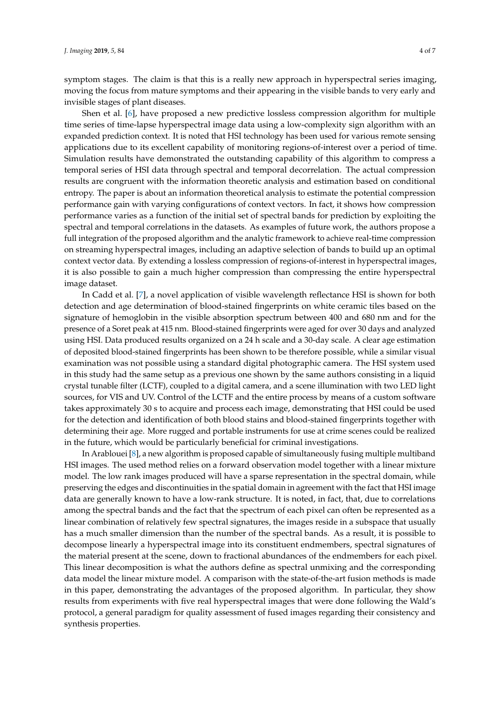symptom stages. The claim is that this is a really new approach in hyperspectral series imaging, moving the focus from mature symptoms and their appearing in the visible bands to very early and invisible stages of plant diseases.

Shen et al. [\[6\]](#page-6-3), have proposed a new predictive lossless compression algorithm for multiple time series of time-lapse hyperspectral image data using a low-complexity sign algorithm with an expanded prediction context. It is noted that HSI technology has been used for various remote sensing applications due to its excellent capability of monitoring regions-of-interest over a period of time. Simulation results have demonstrated the outstanding capability of this algorithm to compress a temporal series of HSI data through spectral and temporal decorrelation. The actual compression results are congruent with the information theoretic analysis and estimation based on conditional entropy. The paper is about an information theoretical analysis to estimate the potential compression performance gain with varying configurations of context vectors. In fact, it shows how compression performance varies as a function of the initial set of spectral bands for prediction by exploiting the spectral and temporal correlations in the datasets. As examples of future work, the authors propose a full integration of the proposed algorithm and the analytic framework to achieve real-time compression on streaming hyperspectral images, including an adaptive selection of bands to build up an optimal context vector data. By extending a lossless compression of regions-of-interest in hyperspectral images, it is also possible to gain a much higher compression than compressing the entire hyperspectral image dataset.

In Cadd et al. [\[7\]](#page-6-4), a novel application of visible wavelength reflectance HSI is shown for both detection and age determination of blood-stained fingerprints on white ceramic tiles based on the signature of hemoglobin in the visible absorption spectrum between 400 and 680 nm and for the presence of a Soret peak at 415 nm. Blood-stained fingerprints were aged for over 30 days and analyzed using HSI. Data produced results organized on a 24 h scale and a 30-day scale. A clear age estimation of deposited blood-stained fingerprints has been shown to be therefore possible, while a similar visual examination was not possible using a standard digital photographic camera. The HSI system used in this study had the same setup as a previous one shown by the same authors consisting in a liquid crystal tunable filter (LCTF), coupled to a digital camera, and a scene illumination with two LED light sources, for VIS and UV. Control of the LCTF and the entire process by means of a custom software takes approximately 30 s to acquire and process each image, demonstrating that HSI could be used for the detection and identification of both blood stains and blood-stained fingerprints together with determining their age. More rugged and portable instruments for use at crime scenes could be realized in the future, which would be particularly beneficial for criminal investigations.

In Arablouei [\[8\]](#page-6-5), a new algorithm is proposed capable of simultaneously fusing multiple multiband HSI images. The used method relies on a forward observation model together with a linear mixture model. The low rank images produced will have a sparse representation in the spectral domain, while preserving the edges and discontinuities in the spatial domain in agreement with the fact that HSI image data are generally known to have a low-rank structure. It is noted, in fact, that, due to correlations among the spectral bands and the fact that the spectrum of each pixel can often be represented as a linear combination of relatively few spectral signatures, the images reside in a subspace that usually has a much smaller dimension than the number of the spectral bands. As a result, it is possible to decompose linearly a hyperspectral image into its constituent endmembers, spectral signatures of the material present at the scene, down to fractional abundances of the endmembers for each pixel. This linear decomposition is what the authors define as spectral unmixing and the corresponding data model the linear mixture model. A comparison with the state-of-the-art fusion methods is made in this paper, demonstrating the advantages of the proposed algorithm. In particular, they show results from experiments with five real hyperspectral images that were done following the Wald's protocol, a general paradigm for quality assessment of fused images regarding their consistency and synthesis properties.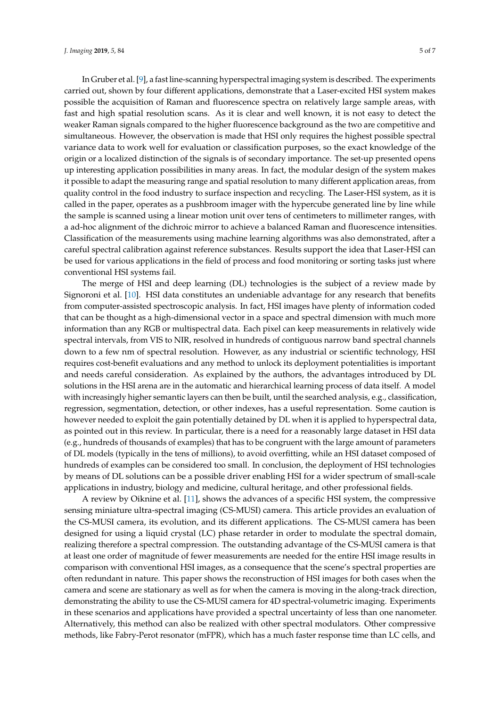In Gruber et al. [\[9\]](#page-6-6), a fast line-scanning hyperspectral imaging system is described. The experiments carried out, shown by four different applications, demonstrate that a Laser-excited HSI system makes possible the acquisition of Raman and fluorescence spectra on relatively large sample areas, with fast and high spatial resolution scans. As it is clear and well known, it is not easy to detect the weaker Raman signals compared to the higher fluorescence background as the two are competitive and simultaneous. However, the observation is made that HSI only requires the highest possible spectral variance data to work well for evaluation or classification purposes, so the exact knowledge of the origin or a localized distinction of the signals is of secondary importance. The set-up presented opens up interesting application possibilities in many areas. In fact, the modular design of the system makes it possible to adapt the measuring range and spatial resolution to many different application areas, from quality control in the food industry to surface inspection and recycling. The Laser-HSI system, as it is called in the paper, operates as a pushbroom imager with the hypercube generated line by line while the sample is scanned using a linear motion unit over tens of centimeters to millimeter ranges, with a ad-hoc alignment of the dichroic mirror to achieve a balanced Raman and fluorescence intensities. Classification of the measurements using machine learning algorithms was also demonstrated, after a careful spectral calibration against reference substances. Results support the idea that Laser-HSI can be used for various applications in the field of process and food monitoring or sorting tasks just where conventional HSI systems fail.

The merge of HSI and deep learning (DL) technologies is the subject of a review made by Signoroni et al. [\[10\]](#page-6-7). HSI data constitutes an undeniable advantage for any research that benefits from computer-assisted spectroscopic analysis. In fact, HSI images have plenty of information coded that can be thought as a high-dimensional vector in a space and spectral dimension with much more information than any RGB or multispectral data. Each pixel can keep measurements in relatively wide spectral intervals, from VIS to NIR, resolved in hundreds of contiguous narrow band spectral channels down to a few nm of spectral resolution. However, as any industrial or scientific technology, HSI requires cost-benefit evaluations and any method to unlock its deployment potentialities is important and needs careful consideration. As explained by the authors, the advantages introduced by DL solutions in the HSI arena are in the automatic and hierarchical learning process of data itself. A model with increasingly higher semantic layers can then be built, until the searched analysis, e.g., classification, regression, segmentation, detection, or other indexes, has a useful representation. Some caution is however needed to exploit the gain potentially detained by DL when it is applied to hyperspectral data, as pointed out in this review. In particular, there is a need for a reasonably large dataset in HSI data (e.g., hundreds of thousands of examples) that has to be congruent with the large amount of parameters of DL models (typically in the tens of millions), to avoid overfitting, while an HSI dataset composed of hundreds of examples can be considered too small. In conclusion, the deployment of HSI technologies by means of DL solutions can be a possible driver enabling HSI for a wider spectrum of small-scale applications in industry, biology and medicine, cultural heritage, and other professional fields.

A review by Oiknine et al. [\[11\]](#page-6-8), shows the advances of a specific HSI system, the compressive sensing miniature ultra-spectral imaging (CS-MUSI) camera. This article provides an evaluation of the CS-MUSI camera, its evolution, and its different applications. The CS-MUSI camera has been designed for using a liquid crystal (LC) phase retarder in order to modulate the spectral domain, realizing therefore a spectral compression. The outstanding advantage of the CS-MUSI camera is that at least one order of magnitude of fewer measurements are needed for the entire HSI image results in comparison with conventional HSI images, as a consequence that the scene's spectral properties are often redundant in nature. This paper shows the reconstruction of HSI images for both cases when the camera and scene are stationary as well as for when the camera is moving in the along-track direction, demonstrating the ability to use the CS-MUSI camera for 4D spectral-volumetric imaging. Experiments in these scenarios and applications have provided a spectral uncertainty of less than one nanometer. Alternatively, this method can also be realized with other spectral modulators. Other compressive methods, like Fabry-Perot resonator (mFPR), which has a much faster response time than LC cells, and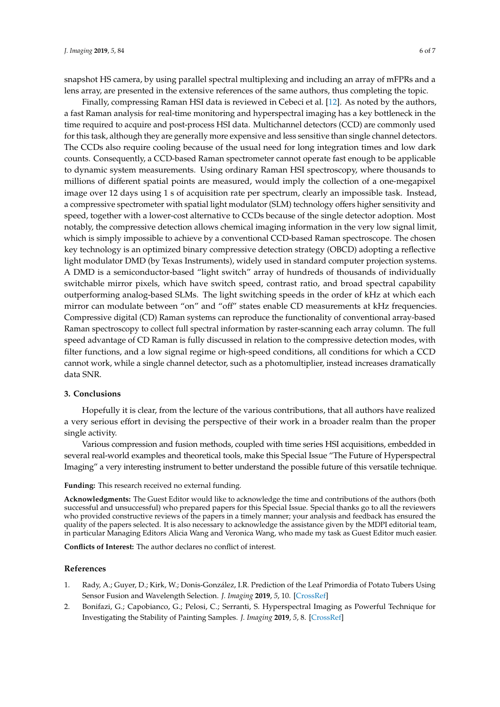snapshot HS camera, by using parallel spectral multiplexing and including an array of mFPRs and a lens array, are presented in the extensive references of the same authors, thus completing the topic.

Finally, compressing Raman HSI data is reviewed in Cebeci et al. [\[12\]](#page-6-9). As noted by the authors, a fast Raman analysis for real-time monitoring and hyperspectral imaging has a key bottleneck in the time required to acquire and post-process HSI data. Multichannel detectors (CCD) are commonly used for this task, although they are generally more expensive and less sensitive than single channel detectors. The CCDs also require cooling because of the usual need for long integration times and low dark counts. Consequently, a CCD-based Raman spectrometer cannot operate fast enough to be applicable to dynamic system measurements. Using ordinary Raman HSI spectroscopy, where thousands to millions of different spatial points are measured, would imply the collection of a one-megapixel image over 12 days using 1 s of acquisition rate per spectrum, clearly an impossible task. Instead, a compressive spectrometer with spatial light modulator (SLM) technology offers higher sensitivity and speed, together with a lower-cost alternative to CCDs because of the single detector adoption. Most notably, the compressive detection allows chemical imaging information in the very low signal limit, which is simply impossible to achieve by a conventional CCD-based Raman spectroscope. The chosen key technology is an optimized binary compressive detection strategy (OBCD) adopting a reflective light modulator DMD (by Texas Instruments), widely used in standard computer projection systems. A DMD is a semiconductor-based "light switch" array of hundreds of thousands of individually switchable mirror pixels, which have switch speed, contrast ratio, and broad spectral capability outperforming analog-based SLMs. The light switching speeds in the order of kHz at which each mirror can modulate between "on" and "off" states enable CD measurements at kHz frequencies. Compressive digital (CD) Raman systems can reproduce the functionality of conventional array-based Raman spectroscopy to collect full spectral information by raster-scanning each array column. The full speed advantage of CD Raman is fully discussed in relation to the compressive detection modes, with filter functions, and a low signal regime or high-speed conditions, all conditions for which a CCD cannot work, while a single channel detector, such as a photomultiplier, instead increases dramatically data SNR.

#### **3. Conclusions**

Hopefully it is clear, from the lecture of the various contributions, that all authors have realized a very serious effort in devising the perspective of their work in a broader realm than the proper single activity.

Various compression and fusion methods, coupled with time series HSI acquisitions, embedded in several real-world examples and theoretical tools, make this Special Issue "The Future of Hyperspectral Imaging" a very interesting instrument to better understand the possible future of this versatile technique.

**Funding:** This research received no external funding.

**Acknowledgments:** The Guest Editor would like to acknowledge the time and contributions of the authors (both successful and unsuccessful) who prepared papers for this Special Issue. Special thanks go to all the reviewers who provided constructive reviews of the papers in a timely manner; your analysis and feedback has ensured the quality of the papers selected. It is also necessary to acknowledge the assistance given by the MDPI editorial team, in particular Managing Editors Alicia Wang and Veronica Wang, who made my task as Guest Editor much easier.

**Conflicts of Interest:** The author declares no conflict of interest.

#### **References**

- <span id="page-5-0"></span>1. Rady, A.; Guyer, D.; Kirk, W.; Donis-González, I.R. Prediction of the Leaf Primordia of Potato Tubers Using Sensor Fusion and Wavelength Selection. *J. Imaging* **2019**, *5*, 10. [\[CrossRef\]](http://dx.doi.org/10.3390/jimaging5010010)
- <span id="page-5-1"></span>2. Bonifazi, G.; Capobianco, G.; Pelosi, C.; Serranti, S. Hyperspectral Imaging as Powerful Technique for Investigating the Stability of Painting Samples. *J. Imaging* **2019**, *5*, 8. [\[CrossRef\]](http://dx.doi.org/10.3390/jimaging5010008)